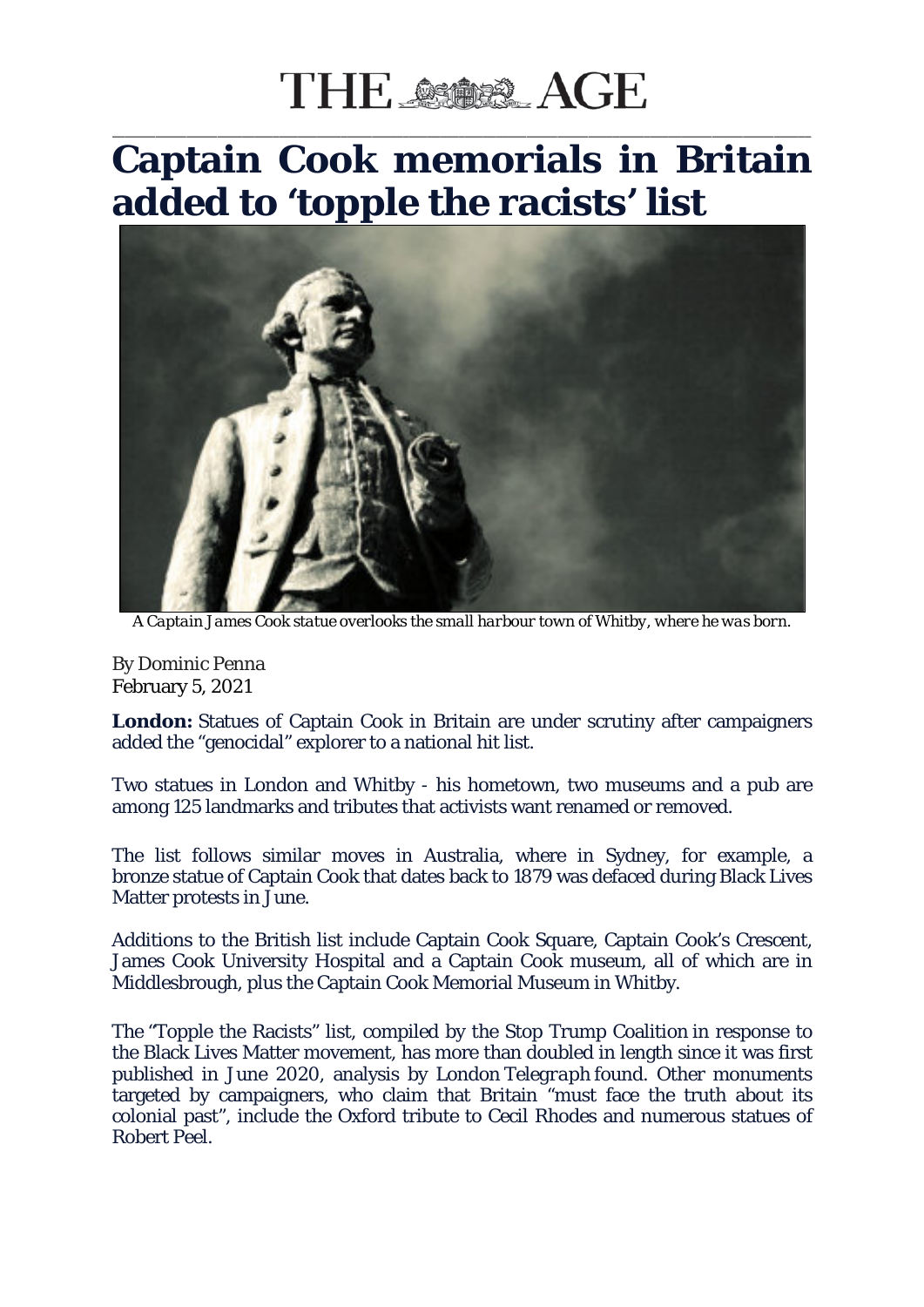## THE SSOSS AGE

## \_\_\_\_\_\_\_\_\_\_\_\_\_\_\_\_\_\_\_\_\_\_\_\_\_\_\_\_\_\_\_\_\_\_\_\_\_\_\_\_\_\_\_\_\_\_\_\_\_\_\_\_\_\_\_\_\_\_\_\_\_\_\_\_\_\_\_\_\_\_\_\_\_\_\_\_\_\_\_\_\_\_\_\_\_\_\_\_\_\_\_\_\_\_\_\_\_\_\_\_\_\_\_\_\_\_\_\_\_\_\_\_\_ **Captain Cook memorials in Britain added to 'topple the racists' list**



*A Captain James Cook statue overlooks the small harbour town of Whitby, where he was born.*

By Dominic Penna February 5, 2021

**London:** Statues of Captain Cook in Britain are under scrutiny after campaigners added the "genocidal" explorer to a national hit list.

Two statues in London and Whitby - his hometown, two museums and a pub are among 125 landmarks and tributes that activists want renamed or removed.

The list follows similar moves in Australia, where in Sydney, for example, a bronze statue of Captain Cook that dates back to 1879 was defaced during Black Lives Matter protests in June.

Additions to the British list include Captain Cook Square, Captain Cook's Crescent, James Cook University Hospital and a Captain Cook museum, all of which are in Middlesbrough, plus the Captain Cook Memorial Museum in Whitby.

The "Topple the Racists" list, compiled by the Stop Trump Coalition in response to the Black Lives Matter movement, has more than doubled in length since it was first published in June 2020, analysis by London *Telegraph* found. Other monuments targeted by campaigners, who claim that Britain "must face the truth about its colonial past", include the Oxford tribute to Cecil Rhodes and numerous statues of Robert Peel.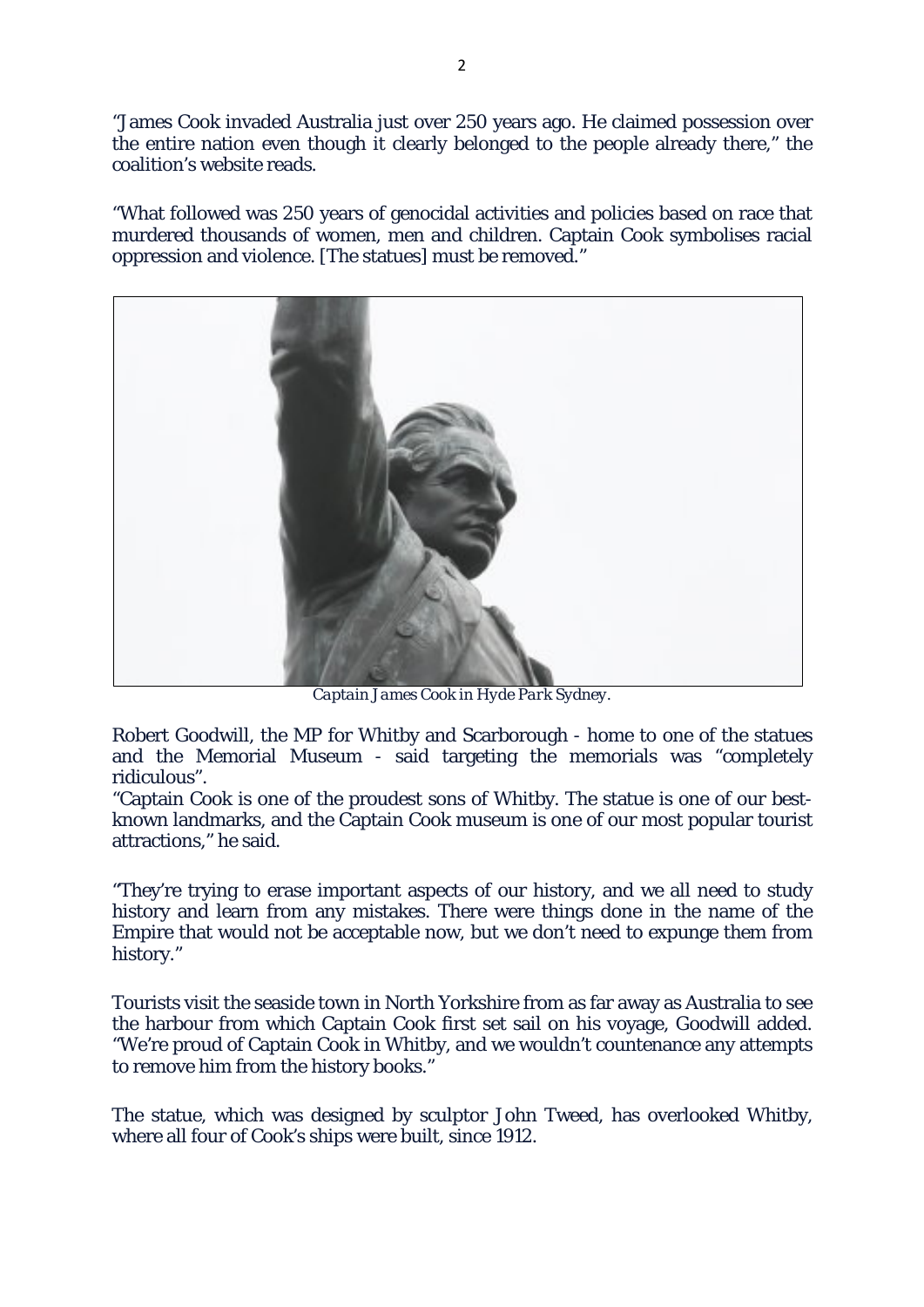"James Cook invaded Australia just over 250 years ago. He claimed possession over the entire nation even though it clearly belonged to the people already there," the coalition's website reads.

"What followed was 250 years of genocidal activities and policies based on race that murdered thousands of women, men and children. Captain Cook symbolises racial oppression and violence. [The statues] must be removed."



*Captain James Cook in Hyde Park Sydney.*

Robert Goodwill, the MP for Whitby and Scarborough - home to one of the statues and the Memorial Museum - said targeting the memorials was "completely ridiculous".

"Captain Cook is one of the proudest sons of Whitby. The statue is one of our bestknown landmarks, and the Captain Cook museum is one of our most popular tourist attractions," he said.

"They're trying to erase important aspects of our history, and we all need to study history and learn from any mistakes. There were things done in the name of the Empire that would not be acceptable now, but we don't need to expunge them from history."

Tourists visit the seaside town in North Yorkshire from as far away as Australia to see the harbour from which Captain Cook first set sail on his voyage, Goodwill added. "We're proud of Captain Cook in Whitby, and we wouldn't countenance any attempts to remove him from the history books."

The statue, which was designed by sculptor John Tweed, has overlooked Whitby, where all four of Cook's ships were built, since 1912.